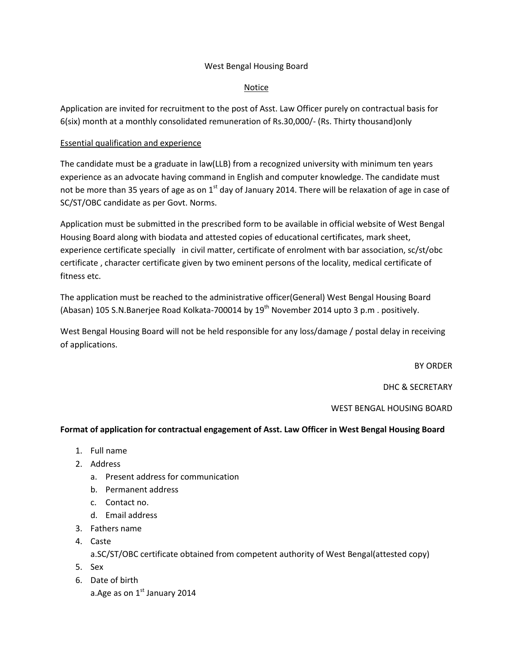## West Bengal Housing Board

## **Notice**

Application are invited for recruitment to the post of Asst. Law Officer purely on contractual basis for 6(six) month at a monthly consolidated remuneration of Rs.30,000/- (Rs. Thirty thousand)only

## Essential qualification and experience

The candidate must be a graduate in law(LLB) from a recognized university with minimum ten years experience as an advocate having command in English and computer knowledge. The candidate must not be more than 35 years of age as on  $1<sup>st</sup>$  day of January 2014. There will be relaxation of age in case of SC/ST/OBC candidate as per Govt. Norms.

Application must be submitted in the prescribed form to be available in official website of West Bengal Housing Board along with biodata and attested copies of educational certificates, mark sheet, experience certificate specially in civil matter, certificate of enrolment with bar association, sc/st/obc certificate , character certificate given by two eminent persons of the locality, medical certificate of fitness etc.

The application must be reached to the administrative officer(General) West Bengal Housing Board (Abasan) 105 S.N.Banerjee Road Kolkata-700014 by 19<sup>th</sup> November 2014 upto 3 p.m. positively.

West Bengal Housing Board will not be held responsible for any loss/damage / postal delay in receiving of applications.

BY ORDER

DHC & SECRETARY

WEST BENGAL HOUSING BOARD

## **Format of application for contractual engagement of Asst. Law Officer in West Bengal Housing Board**

- 1. Full name
- 2. Address
	- a. Present address for communication
	- b. Permanent address
	- c. Contact no.
	- d. Email address
- 3. Fathers name
- 4. Caste

a.SC/ST/OBC certificate obtained from competent authority of West Bengal(attested copy)

- 5. Sex
- 6. Date of birth a. Age as on  $1<sup>st</sup>$  January 2014